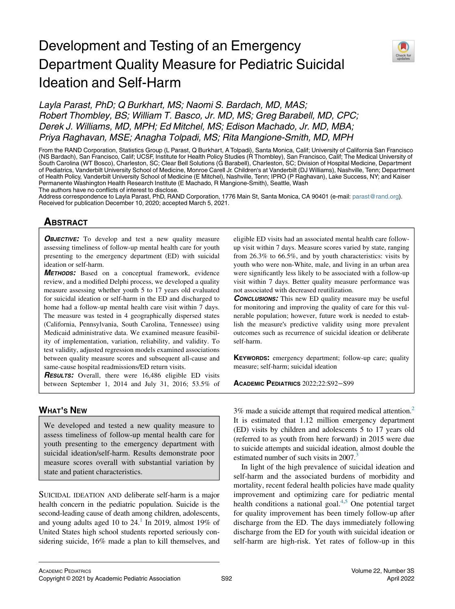# Development and Testing of an Emergency Department Quality Measure for Pediatric Suicidal Ideation and Self-Harm



Layla Parast, PhD; Q Burkhart, MS; Naomi S. Bardach, MD, MAS; Robert Thombley, BS; William T. Basco, Jr. MD, MS; Greg Barabell, MD, CPC; Derek J. Williams, MD, MPH; Ed Mitchel, MS; Edison Machado, Jr. MD, MBA; Priya Raghavan, MSE; Anagha Tolpadi, MS; Rita Mangione-Smith, MD, MPH

From the RAND Corporation, Statistics Group (L Parast, Q Burkhart, A Tolpadi), Santa Monica, Calif; University of California San Francisco (NS Bardach), San Francisco, Calif; UCSF, Institute for Health Policy Studies (R Thombley), San Francisco, Calif; The Medical University of South Carolina (WT Bosco), Charleston, SC; Clear Bell Solutions (G Barabell), Charleston, SC; Division of Hospital Medicine, Department of Pediatrics, Vanderbilt University School of Medicine, Monroe Carell Jr. Children's at Vanderbilt (DJ Williams), Nashville, Tenn; Department of Health Policy, Vanderbilt University School of Medicine (E Mitchel), Nashville, Tenn; IPRO (P Raghavan), Lake Success, NY; and Kaiser Permanente Washington Health Research Institute (E Machado, R Mangione-Smith), Seattle, Wash The authors have no conflicts of interest to disclose.

Address correspondence to Layla Parast, PhD, RAND Corporation, 1776 Main St, Santa Monica, CA 90401 (e-mail: [parast@rand.org\)](mailto:parast@rand.org). Received for publication December 10, 2020; accepted March 5, 2021.

# **ABSTRACT**

**OBJECTIVE:** To develop and test a new quality measure assessing timeliness of follow-up mental health care for youth presenting to the emergency department (ED) with suicidal ideation or self-harm.

METHODS: Based on a conceptual framework, evidence review, and a modified Delphi process, we developed a quality measure assessing whether youth 5 to 17 years old evaluated for suicidal ideation or self-harm in the ED and discharged to home had a follow-up mental health care visit within 7 days. The measure was tested in 4 geographically dispersed states (California, Pennsylvania, South Carolina, Tennessee) using Medicaid administrative data. We examined measure feasibility of implementation, variation, reliability, and validity. To test validity, adjusted regression models examined associations between quality measure scores and subsequent all-cause and same-cause hospital readmissions/ED return visits.

**RESULTS:** Overall, there were 16,486 eligible ED visits between September 1, 2014 and July 31, 2016; 53.5% of

# WHAT'<sup>S</sup> NEW

We developed and tested a new quality measure to assess timeliness of follow-up mental health care for youth presenting to the emergency department with suicidal ideation/self-harm. Results demonstrate poor measure scores overall with substantial variation by state and patient characteristics.

SUICIDAL IDEATION AND deliberate self-harm is a major health concern in the pediatric population. Suicide is the second-leading cause of death among children, adolescents, and young adults aged [1](#page-5-0)0 to  $24<sup>1</sup>$  In 2019, almost 19% of United States high school students reported seriously considering suicide, 16% made a plan to kill themselves, and

eligible ED visits had an associated mental health care followup visit within 7 days. Measure scores varied by state, ranging from 26.3% to 66.5%, and by youth characteristics: visits by youth who were non-White, male, and living in an urban area were significantly less likely to be associated with a follow-up visit within 7 days. Better quality measure performance was not associated with decreased reutilization.

**CONCLUSIONS:** This new ED quality measure may be useful for monitoring and improving the quality of care for this vulnerable population; however, future work is needed to establish the measure's predictive validity using more prevalent outcomes such as recurrence of suicidal ideation or deliberate self-harm.

KEYWORDS: emergency department; follow-up care; quality measure; self-harm; suicidal ideation

ACADEMIC PEDIATRICS 2022;22:S92−S99

3% made a suicide attempt that required medical attention.<sup>2</sup> It is estimated that 1.12 million emergency department (ED) visits by children and adolescents 5 to 17 years old (referred to as youth from here forward) in 2015 were due to suicide attempts and suicidal ideation, almost double the estimated number of such visits in 2007.<sup>3</sup>

In light of the high prevalence of suicidal ideation and self-harm and the associated burdens of morbidity and mortality, recent federal health policies have made quality improvement and optimizing care for pediatric mental health conditions a national goal. $4,5$  $4,5$  One potential target for quality improvement has been timely follow-up after discharge from the ED. The days immediately following discharge from the ED for youth with suicidal ideation or self-harm are high-risk. Yet rates of follow-up in this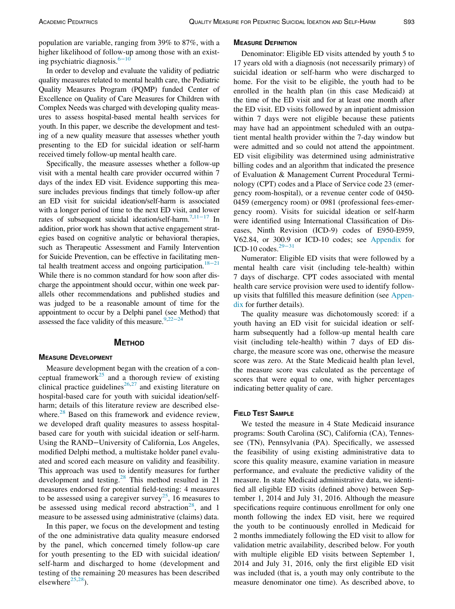population are variable, ranging from 39% to 87%, with a higher likelihood of follow-up among those with an existing psychiatric diagnosis.6−[10](#page-6-4)

In order to develop and evaluate the validity of pediatric quality measures related to mental health care, the Pediatric Quality Measures Program (PQMP) funded Center of Excellence on Quality of Care Measures for Children with Complex Needs was charged with developing quality measures to assess hospital-based mental health services for youth. In this paper, we describe the development and testing of a new quality measure that assesses whether youth presenting to the ED for suicidal ideation or self-harm received timely follow-up mental health care.

Specifically, the measure assesses whether a follow-up visit with a mental health care provider occurred within 7 days of the index ED visit. Evidence supporting this measure includes previous findings that timely follow-up after an ED visit for suicidal ideation/self-harm is associated with a longer period of time to the next ED visit, and lower rates of subsequent suicidal ideation/self-harm.[7](#page-6-5)[,11](#page-6-6)−<sup>17</sup> In addition, prior work has shown that active engagement strategies based on cognitive analytic or behavioral therapies, such as Therapeutic Assessment and Family Intervention for Suicide Prevention, can be effective in facilitating men-tal health treatment access and ongoing participation.<sup>[18](#page-6-7)−21</sup> While there is no common standard for how soon after discharge the appointment should occur, within one week parallels other recommendations and published studies and was judged to be a reasonable amount of time for the appointment to occur by a Delphi panel (see Method) that

# assessed the face validity of this measure. $9,22-24$  $9,22-24$  $9,22-24$

# **METHOD**

# MEASURE DEVELOPMENT

Measure development began with the creation of a con-ceptual framework<sup>[25](#page-6-10)</sup> and a thorough review of existing clinical practice guidelines<sup>[26,](#page-6-11)[27](#page-6-12)</sup> and existing literature on hospital-based care for youth with suicidal ideation/selfharm; details of this literature review are described else-where.<sup>[28](#page-6-13)</sup> Based on this framework and evidence review, we developed draft quality measures to assess hospitalbased care for youth with suicidal ideation or self-harm. Using the RAND−University of California, Los Angeles, modified Delphi method, a multistake holder panel evaluated and scored each measure on validity and feasibility. This approach was used to identify measures for further development and testing. $^{28}$  $^{28}$  $^{28}$  This method resulted in 21 measures endorsed for potential field-testing: 4 measures to be assessed using a caregiver survey<sup>[25](#page-6-10)</sup>, 16 measures to be assessed using medical record abstraction<sup>28</sup>, and 1 measure to be assessed using administrative (claims) data.

In this paper, we focus on the development and testing of the one administrative data quality measure endorsed by the panel, which concerned timely follow-up care for youth presenting to the ED with suicidal ideation/ self-harm and discharged to home (development and testing of the remaining 20 measures has been described elsewhere $^{25,28}$  $^{25,28}$  $^{25,28}$  $^{25,28}$ ).

### MEASURE DEFINITION

Denominator: Eligible ED visits attended by youth 5 to 17 years old with a diagnosis (not necessarily primary) of suicidal ideation or self-harm who were discharged to home. For the visit to be eligible, the youth had to be enrolled in the health plan (in this case Medicaid) at the time of the ED visit and for at least one month after the ED visit. ED visits followed by an inpatient admission within 7 days were not eligible because these patients may have had an appointment scheduled with an outpatient mental health provider within the 7-day window but were admitted and so could not attend the appointment. ED visit eligibility was determined using administrative billing codes and an algorithm that indicated the presence of Evaluation & Management Current Procedural Terminology (CPT) codes and a Place of Service code 23 (emergency room-hospital), or a revenue center code of 0450- 0459 (emergency room) or 0981 (professional fees-emergency room). Visits for suicidal ideation or self-harm were identified using International Classification of Diseases, Ninth Revision (ICD-9) codes of E950-E959, V62.84, or 3[00.9 o](#page-6-14)r ICD-10 codes; see [Appendix](#page-5-1) for ICD-10 codes. $29-31$ 

Numerator: Eligible ED visits that were followed by a mental health care visit (including tele-health) within 7 days of discharge. CPT codes associated with mental health care service provision were used to identify followup visits that fulfilled this measure definition (see [Appen](#page-5-1)[dix](#page-5-1) for further details).

The quality measure was dichotomously scored: if a youth having an ED visit for suicidal ideation or selfharm subsequently had a follow-up mental health care visit (including tele-health) within 7 days of ED discharge, the measure score was one, otherwise the measure score was zero. At the State Medicaid health plan level, the measure score was calculated as the percentage of scores that were equal to one, with higher percentages indicating better quality of care.

# FIELD TEST SAMPLE

We tested the measure in 4 State Medicaid insurance programs: South Carolina (SC), California (CA), Tennessee (TN), Pennsylvania (PA). Specifically, we assessed the feasibility of using existing administrative data to score this quality measure, examine variation in measure performance, and evaluate the predictive validity of the measure. In state Medicaid administrative data, we identified all eligible ED visits (defined above) between September 1, 2014 and July 31, 2016. Although the measure specifications require continuous enrollment for only one month following the index ED visit, here we required the youth to be continuously enrolled in Medicaid for 2 months immediately following the ED visit to allow for validation metric availability, described below. For youth with multiple eligible ED visits between September 1, 2014 and July 31, 2016, only the first eligible ED visit was included (that is, a youth may only contribute to the measure denominator one time). As described above, to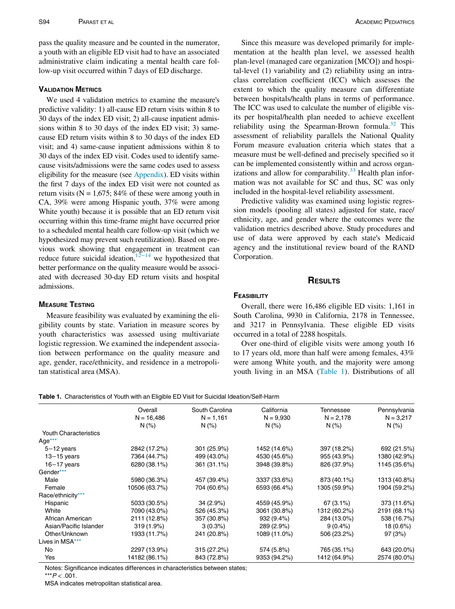pass the quality measure and be counted in the numerator, a youth with an eligible ED visit had to have an associated administrative claim indicating a mental health care follow-up visit occurred within 7 days of ED discharge.

#### VALIDATION METRICS

We used 4 validation metrics to examine the measure's predictive validity: 1) all-cause ED return visits within 8 to 30 days of the index ED visit; 2) all-cause inpatient admissions within 8 to 30 days of the index ED visit; 3) samecause ED return visits within 8 to 30 days of the index ED visit; and 4) same-cause inpatient admissions within 8 to 30 days of the index ED visit. Codes used to identify samecause visits/admissions were the same codes used to assess eligibility for the measure (see [Appendix\)](#page-5-1). ED visits within the first 7 days of the index ED visit were not counted as return visits ( $N = 1,675$ ; 84% of these were among youth in CA, 39% were among Hispanic youth, 37% were among White youth) because it is possible that an ED return visit occurring within this time-frame might have occurred prior to a scheduled mental health care follow-up visit (which we hypothesized may prevent such reutilization). Based on previous work showing that engagement in treatment can reduce future suicidal ideation,<sup>12−14</sup> we hypothesized that better performance on the quality measure would be associated with decreased 30-day ED return visits and hospital admissions.

# MEASURE TESTING

Measure feasibility was evaluated by examining the eligibility counts by state. Variation in measure scores by youth characteristics was assessed using multivariate logistic regression. We examined the independent association between performance on the quality measure and age, gender, race/ethnicity, and residence in a metropolitan statistical area (MSA).

Since this measure was developed primarily for implementation at the health plan level, we assessed health plan-level (managed care organization [MCO]) and hospital-level (1) variability and (2) reliability using an intraclass correlation coefficient (ICC) which assesses the extent to which the quality measure can differentiate between hospitals/health plans in terms of performance. The ICC was used to calculate the number of eligible visits per hospital/health plan needed to achieve excellent reliability using the Spearman-Brown formula.<sup>[32](#page-6-16)</sup> This assessment of reliability parallels the National Quality Forum measure evaluation criteria which states that a measure must be well-defined and precisely specified so it can be implemented consistently within and across organizations and allow for comparability. $33$  Health plan information was not available for SC and thus, SC was only included in the hospital-level reliability assessment.

Predictive validity was examined using logistic regression models (pooling all states) adjusted for state, race/ ethnicity, age, and gender where the outcomes were the validation metrics described above. Study procedures and use of data were approved by each state's Medicaid agency and the institutional review board of the RAND Corporation.

# **RESULTS**

# **FEASIBILITY**

Overall, there were 16,486 eligible ED visits: 1,161 in South Carolina, 9930 in California, 2178 in Tennessee, and 3217 in Pennsylvania. These eligible ED visits occurred in a total of 2288 hospitals.

Over one-third of eligible visits were among youth 16 to 17 years old, more than half were among females, 43% were among White youth, and the majority were among youth living in an MSA ([Table 1](#page-2-0)). Distributions of all

#### <span id="page-2-0"></span>Table 1. Characteristics of Youth with an Eligible ED Visit for Suicidal Ideation/Self-Harm

|                              | Overall       | South Carolina | California   | Tennessee    | Pennsylvania |
|------------------------------|---------------|----------------|--------------|--------------|--------------|
|                              | $N = 16,486$  | $N = 1,161$    | $N = 9,930$  | $N = 2,178$  | $N = 3,217$  |
|                              | N(% )         | N(%            | N(% )        | N(% )        | N(% )        |
| <b>Youth Characteristics</b> |               |                |              |              |              |
| Age $***$                    |               |                |              |              |              |
| $5 - 12$ years               | 2842 (17.2%)  | 301 (25.9%)    | 1452 (14.6%) | 397 (18.2%)  | 692 (21.5%)  |
| $13 - 15$ years              | 7364 (44.7%)  | 499 (43.0%)    | 4530 (45.6%) | 955 (43.9%)  | 1380 (42.9%) |
| $16 - 17$ years              | 6280 (38.1%)  | 361 (31.1%)    | 3948 (39.8%) | 826 (37.9%)  | 1145 (35.6%) |
| Gender***                    |               |                |              |              |              |
| Male                         | 5980 (36.3%)  | 457 (39.4%)    | 3337 (33.6%) | 873 (40.1%)  | 1313 (40.8%) |
| Female                       | 10506 (63.7%) | 704 (60.6%)    | 6593 (66.4%) | 1305 (59.9%) | 1904 (59.2%) |
| Race/ethnicity***            |               |                |              |              |              |
| Hispanic                     | 5033 (30.5%)  | $34(2.9\%)$    | 4559 (45.9%) | $67(3.1\%)$  | 373 (11.6%)  |
| White                        | 7090 (43.0%)  | 526 (45.3%)    | 3061 (30.8%) | 1312 (60.2%) | 2191 (68.1%) |
| African American             | 2111 (12.8%)  | 357 (30.8%)    | 932(9.4%)    | 284 (13.0%)  | 538 (16.7%)  |
| Asian/Pacific Islander       | $319(1.9\%)$  | $3(0.3\%)$     | 289 (2.9%)   | $9(0.4\%)$   | 18 (0.6%)    |
| Other/Unknown                | 1933 (11.7%)  | 241 (20.8%)    | 1089 (11.0%) | 506 (23.2%)  | 97 (3%)      |
| Lives in MSA***              |               |                |              |              |              |
| No                           | 2297 (13.9%)  | 315 (27.2%)    | 574 (5.8%)   | 765 (35.1%)  | 643 (20.0%)  |
| Yes                          | 14182 (86.1%) | 843 (72.8%)    | 9353 (94.2%) | 1412 (64.9%) | 2574 (80.0%) |

<span id="page-2-1"></span>Notes: Significance indicates differences in characteristics between states;

\*\*\* $P < .001$ .

MSA indicates metropolitan statistical area.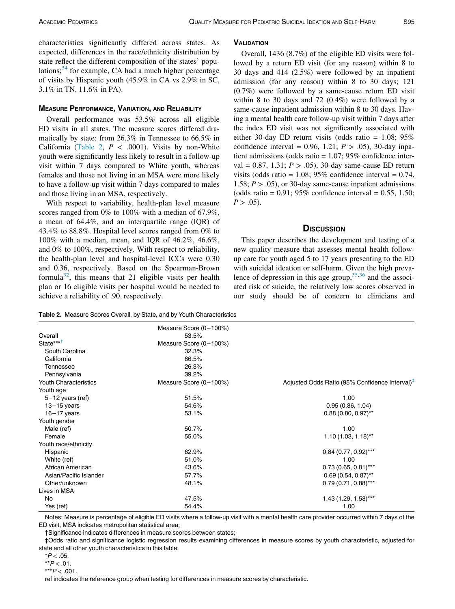characteristics significantly differed across states. As expected, differences in the race/ethnicity distribution by state reflect the different composition of the states' populations; $34$  for example, CA had a much higher percentage of visits by Hispanic youth (45.9% in CA vs 2.9% in SC, 3.1% in TN, 11.6% in PA).

### MEASURE PERFORMANCE, VARIATION, AND RELIABILITY

Overall performance was 53.5% across all eligible ED visits in all states. The measure scores differed dramatically by state: from 26.3% in Tennessee to 66.5% in California ([Table 2,](#page-3-0)  $P < .0001$ ). Visits by non-White youth were significantly less likely to result in a follow-up visit within 7 days compared to White youth, whereas females and those not living in an MSA were more likely to have a follow-up visit within 7 days compared to males and those living in an MSA, respectively.

With respect to variability, health-plan level measure scores ranged from 0% to 100% with a median of 67.9%, a mean of 64.4%, and an interquartile range (IQR) of 43.4% to 88.8%. Hospital level scores ranged from 0% to 100% with a median, mean, and IQR of 46.2%, 46.6%, and 0% to 100%, respectively. With respect to reliability, the health-plan level and hospital-level ICCs were 0.30 and 0.36, respectively. Based on the Spearman-Brown formula<sup>32</sup>, this means that 21 eligible visits per health plan or 16 eligible visits per hospital would be needed to achieve a reliability of .90, respectively.

# **VALIDATION**

Overall, 1436 (8.7%) of the eligible ED visits were followed by a return ED visit (for any reason) within 8 to 30 days and 414 (2.5%) were followed by an inpatient admission (for any reason) within 8 to 30 days; 121 (0.7%) were followed by a same-cause return ED visit within 8 to 30 days and 72 (0.4%) were followed by a same-cause inpatient admission within 8 to 30 days. Having a mental health care follow-up visit within 7 days after the index ED visit was not significantly associated with either 30-day ED return visits (odds ratio =  $1.08$ ; 95% confidence interval = 0.96, 1.21;  $P > .05$ ), 30-day inpatient admissions (odds ratio = 1.07; 95% confidence interval = 0.87, 1.31;  $P > .05$ ), 30-day same-cause ED return visits (odds ratio =  $1.08$ ; 95% confidence interval = 0.74, 1.58;  $P > .05$ ), or 30-day same-cause inpatient admissions (odds ratio =  $0.91$ ; 95% confidence interval =  $0.55$ , 1.50;  $P > .05$ ).

# **DISCUSSION**

This paper describes the development and testing of a new quality measure that assesses mental health followup care for youth aged 5 to 17 years presenting to the ED with suicidal ideation or self-harm. Given the high prevalence of depression in this age group,  $35,36$  $35,36$  $35,36$  and the associated risk of suicide, the relatively low scores observed in our study should be of concern to clinicians and

<span id="page-3-0"></span>Table 2. Measure Scores Overall, by State, and by Youth Characteristics

|                        | Measure Score (0-100%) |                                                            |  |  |
|------------------------|------------------------|------------------------------------------------------------|--|--|
| Overall                | 53.5%                  |                                                            |  |  |
| State*** <sup>†</sup>  | Measure Score (0-100%) |                                                            |  |  |
| South Carolina         | 32.3%                  |                                                            |  |  |
| California             | 66.5%                  |                                                            |  |  |
| Tennessee              | 26.3%                  |                                                            |  |  |
| Pennsylvania           | 39.2%                  |                                                            |  |  |
| Youth Characteristics  | Measure Score (0-100%) | Adjusted Odds Ratio (95% Confidence Interval) <sup>‡</sup> |  |  |
| Youth age              |                        |                                                            |  |  |
| $5-12$ years (ref)     | 51.5%                  | 1.00                                                       |  |  |
| $13 - 15$ years        | 54.6%                  | 0.95(0.86, 1.04)                                           |  |  |
| $16 - 17$ years        | 53.1%                  | $0.88(0.80, 0.97)$ **                                      |  |  |
| Youth gender           |                        |                                                            |  |  |
| Male (ref)             | 50.7%                  | 1.00                                                       |  |  |
| Female                 | 55.0%                  | $1.10(1.03, 1.18)$ <sup>**</sup>                           |  |  |
| Youth race/ethnicity   |                        |                                                            |  |  |
| Hispanic               | 62.9%                  | $0.84$ (0.77, 0.92)***                                     |  |  |
| White (ref)            | 51.0%                  | 1.00                                                       |  |  |
| African American       | 43.6%                  | $0.73(0.65, 0.81)$ ***                                     |  |  |
| Asian/Pacific Islander | 57.7%                  | $0.69(0.54, 0.87)$ **                                      |  |  |
| Other/unknown          | 48.1%                  | $0.79(0.71, 0.88)$ ***                                     |  |  |
| Lives in MSA           |                        |                                                            |  |  |
| No                     | 47.5%                  | $1.43(1.29, 1.58)$ ***                                     |  |  |
| Yes (ref)              | 54.4%                  | 1.00                                                       |  |  |

Notes: Measure is percentage of eligible ED visits where a follow-up visit with a mental health care provider occurred within 7 days of the ED visit, MSA indicates metropolitan statistical area;

†Significance indicates differences in measure scores between states;

<span id="page-3-1"></span>‡Odds ratio and significance logistic regression results examining differences in measure scores by youth characteristic, adjusted for state and all other youth characteristics in this table;

 $*P < .05$ .

 $*$  $P$  < .01.

\*\*\* $P < .001$ .

ref indicates the reference group when testing for differences in measure scores by characteristic.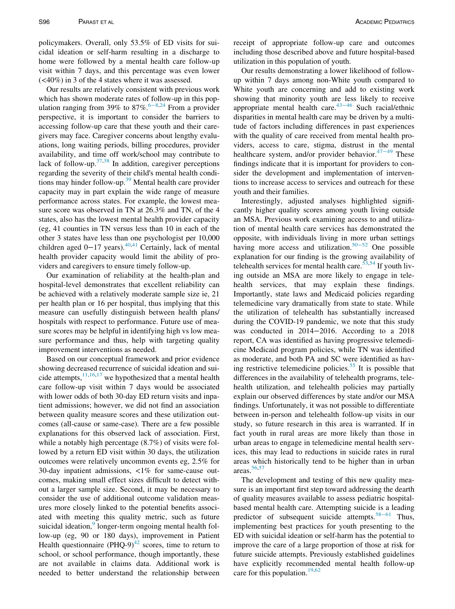policymakers. Overall, only 53.5% of ED visits for suicidal ideation or self-harm resulting in a discharge to home were followed by a mental health care follow-up visit within 7 days, and this percentage was even lower (<40%) in 3 of the 4 states where it was assessed.

Our results are relatively consistent with previous work which has shown moderate rates of follow-up in this pop-ulation ranging from 39% to 87%.<sup>6[−](#page-6-4)8[,24](#page-6-21)</sup> From a provider perspective, it is important to consider the barriers to accessing follow-up care that these youth and their caregivers may face. Caregiver concerns about lengthy evaluations, long waiting periods, billing procedures, provider availability, and time off work/school may contribute to lack of follow-up. $37,38$  $37,38$  In addition, caregiver perceptions regarding the severity of their child's mental health conditions may hinder follow-up. $39$  Mental health care provider capacity may in part explain the wide range of measure performance across states. For example, the lowest measure score was observed in TN at 26.3% and TN, of the 4 states, also has the lowest mental health provider capacity (eg, 41 counties in TN versus less than 10 in each of the other 3 states have less than one psychologist per 10,000 children aged 0−17 years).[40,](#page-6-25)[41](#page-6-26) Certainly, lack of mental health provider capacity would limit the ability of providers and caregivers to ensure timely follow-up.

Our examination of reliability at the health-plan and hospital-level demonstrates that excellent reliability can be achieved with a relatively moderate sample size ie, 21 per health plan or 16 per hospital, thus implying that this measure can usefully distinguish between health plans/ hospitals with respect to performance. Future use of measure scores may be helpful in identifying high vs low measure performance and thus, help with targeting quality improvement interventions as needed.

Based on our conceptual framework and prior evidence showing decreased recurrence of suicidal ideation and suicide attempts,  $11,16,17$  $11,16,17$  $11,16,17$  we hypothesized that a mental health care follow-up visit within 7 days would be associated with lower odds of both 30-day ED return visits and inpatient admissions; however, we did not find an association between quality measure scores and these utilization outcomes (all-cause or same-case). There are a few possible explanations for this observed lack of association. First, while a notably high percentage (8.7%) of visits were followed by a return ED visit within 30 days, the utilization outcomes were relatively uncommon events eg, 2.5% for 30-day inpatient admissions, <1% for same-cause outcomes, making small effect sizes difficult to detect without a larger sample size. Second, it may be necessary to consider the use of additional outcome validation measures more closely linked to the potential benefits associated with meeting this quality metric, such as future suicidal ideation,<sup>[9](#page-6-8)</sup> longer-term ongoing mental health follow-up (eg, 90 or 180 days), improvement in Patient Health questionnaire (PHQ-9) $^{42}$  $^{42}$  $^{42}$  scores, time to return to school, or school performance, though importantly, these are not available in claims data. Additional work is needed to better understand the relationship between receipt of appropriate follow-up care and outcomes including those described above and future hospital-based utilization in this population of youth.

Our results demonstrating a lower likelihood of followup within 7 days among non-White youth compared to White youth are concerning and add to existing work showing that minority youth are less likely to receive appropriate mental health care.43−[46](#page-6-30) Such racial/ethnic disparities in mental health care may be driven by a multitude of factors including differences in past experiences with the quality of care received from mental health providers, access to care, stigma, distrust in the mental healthcare system, and/or provider behavior. $47-49$  $47-49$  These findings indicate that it is important for providers to consider the development and implementation of interventions to increase access to services and outreach for these youth and their families.

Interestingly, adjusted analyses highlighted significantly higher quality scores among youth living outside an MSA. Previous work examining access to and utilization of mental health care services has demonstrated the opposite, with individuals living in [more](#page-7-1) urban settings having more access and utilization.<sup>50−52</sup> One possible explanation for our finding is the growing availability of telehealth services for mental health care.  $\frac{53,54}{1}$  $\frac{53,54}{1}$  $\frac{53,54}{1}$  $\frac{53,54}{1}$  If youth living outside an MSA are more likely to engage in telehealth services, that may explain these findings. Importantly, state laws and Medicaid policies regarding telemedicine vary dramatically from state to state. While the utilization of telehealth has substantially increased during the COVID-19 pandemic, we note that this study was conducted in 2014−2016. According to a 2018 report, CA was identified as having progressive telemedicine Medicaid program policies, while TN was identified as moderate, and both PA and SC were identified as hav-ing restrictive telemedicine policies.<sup>[55](#page-7-4)</sup> It is possible that differences in the availability of telehealth programs, telehealth utilization, and telehealth policies may partially explain our observed differences by state and/or our MSA findings. Unfortunately, it was not possible to differentiate between in-person and telehealth follow-up visits in our study, so future research in this area is warranted. If in fact youth in rural areas are more likely than those in urban areas to engage in telemedicine mental health services, this may lead to reductions in suicide rates in rural areas which historically tend to be higher than in urban areas.<sup>[56,](#page-7-5)[57](#page-7-6)</sup>

The development and testing of this new quality measure is an important first step toward addressing the dearth of quality measures available to assess pediatric hospitalbased mental health care. Attempting suicide is a leading predictor of subsequent suicide attempts. $58-61$  $58-61$  Thus, implementing best practices for youth presenting to the ED with suicidal ideation or self-harm has the potential to improve the care of a large proportion of those at risk for future suicide attempts. Previously established guidelines have explicitly recommended mental health follow-up care for this population.<sup>[19](#page-6-31),[62](#page-7-8)</sup>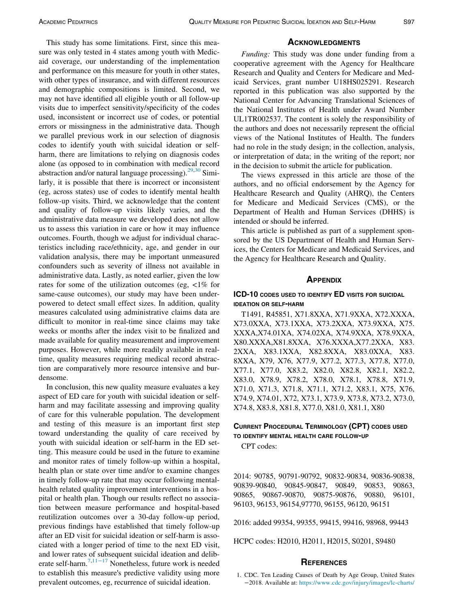This study has some limitations. First, since this measure was only tested in 4 states among youth with Medicaid coverage, our understanding of the implementation and performance on this measure for youth in other states, with other types of insurance, and with different resources and demographic compositions is limited. Second, we may not have identified all eligible youth or all follow-up visits due to imperfect sensitivity/specificity of the codes used, inconsistent or incorrect use of codes, or potential errors or missingness in the administrative data. Though we parallel previous work in our selection of diagnosis codes to identify youth with suicidal ideation or selfharm, there are limitations to relying on diagnosis codes alone (as opposed to in combination with medical record abstraction and/or natural language processing). $29,30$  $29,30$  Similarly, it is possible that there is incorrect or inconsistent (eg, across states) use of codes to identify mental health follow-up visits. Third, we acknowledge that the content and quality of follow-up visits likely varies, and the administrative data measure we developed does not allow us to assess this variation in care or how it may influence outcomes. Fourth, though we adjust for individual characteristics including race/ethnicity, age, and gender in our validation analysis, there may be important unmeasured confounders such as severity of illness not available in administrative data. Lastly, as noted earlier, given the low rates for some of the utilization outcomes (eg,  $\langle 1\%$  for same-cause outcomes), our study may have been underpowered to detect small effect sizes. In addition, quality measures calculated using administrative claims data are difficult to monitor in real-time since claims may take weeks or months after the index visit to be finalized and made available for quality measurement and improvement purposes. However, while more readily available in realtime, quality measures requiring medical record abstraction are comparatively more resource intensive and burdensome.

<span id="page-5-1"></span><span id="page-5-0"></span>In conclusion, this new quality measure evaluates a key aspect of ED care for youth with suicidal ideation or selfharm and may facilitate assessing and improving quality of care for this vulnerable population. The development and testing of this measure is an important first step toward understanding the quality of care received by youth with suicidal ideation or self-harm in the ED setting. This measure could be used in the future to examine and monitor rates of timely follow-up within a hospital, health plan or state over time and/or to examine changes in timely follow-up rate that may occur following mentalhealth related quality improvement interventions in a hospital or health plan. Though our results reflect no association between measure performance and hospital-based reutilization outcomes over a 30-day follow-up period, previous findings have established that timely follow-up after an ED visit for suicidal ideation or self-harm is associated with a longer period of time to the next ED visit, and lower rates of subsequent suicidal ideation and deliberate self-harm.[7](#page-6-5)[,11](#page-6-6)−<sup>17</sup> Nonetheless, future work is needed to establish this measure's predictive validity using more prevalent outcomes, eg, recurrence of suicidal ideation.

## **ACKNOWLEDGMENTS**

Funding: This study was done under funding from a cooperative agreement with the Agency for Healthcare Research and Quality and Centers for Medicare and Medicaid Services, grant number U18HS025291. Research reported in this publication was also supported by the National Center for Advancing Translational Sciences of the National Institutes of Health under Award Number UL1TR002537. The content is solely the responsibility of the authors and does not necessarily represent the official views of the National Institutes of Health. The funders had no role in the study design; in the collection, analysis, or interpretation of data; in the writing of the report; nor in the decision to submit the article for publication.

The views expressed in this article are those of the authors, and no official endorsement by the Agency for Healthcare Research and Quality (AHRQ), the Centers for Medicare and Medicaid Services (CMS), or the Department of Health and Human Services (DHHS) is intended or should be inferred.

This article is published as part of a supplement sponsored by the US Department of Health and Human Services, the Centers for Medicare and Medicaid Services, and the Agency for Healthcare Research and Quality.

#### **APPENDIX**

# ICD-10 CODES USED TO IDENTIFY ED VISITS FOR SUICIDAL IDEATION OR SELF-HARM

T1491, R45851, X71.8XXA, X71.9XXA, X72.XXXA, X73.0XXA, X73.1XXA, X73.2XXA, X73.9XXA, X75. XXXA,X74.01XA, X74.02XA, X74.9XXA, X78.9XXA, X80.XXXA,X81.8XXA, X76.XXXA,X77.2XXA, X83. 2XXA, X83.1XXA, X82.8XXA, X83.0XXA, X83. 8XXA, X79, X76, X77.9, X77.2, X77.3, X77.8, X77.0, X77.1, X77.0, X83.2, X82.0, X82.8, X82.1, X82.2, X83.0, X78.9, X78.2, X78.0, X78.1, X78.8, X71.9, X71.0, X71.3, X71.8, X71.1, X71.2, X83.1, X75, X76, X74.9, X74.01, X72, X73.1, X73.9, X73.8, X73.2, X73.0, X74.8, X83.8, X81.8, X77.0, X81.0, X81.1, X80

# CURRENT PROCEDURAL TERMINOLOGY (CPT) CODES USED TO IDENTIFY MENTAL HEALTH CARE FOLLOW-UP

CPT codes:

2014: 90785, 90791-90792, 90832-90834, 90836-90838, 90839-90840, 90845-90847, 90849, 90853, 90863, 90865, 90867-90870, 90875-90876, 90880, 96101, 96103, 96153, 96154,97770, 96155, 96120, 96151

2016: added 99354, 99355, 99415, 99416, 98968, 99443

HCPC codes: H2010, H2011, H2015, S0201, S9480

# **REFERENCES**

1. CDC. Ten Leading Causes of Death by Age Group, United States −2018. Available at: [https://www.cdc.gov/injury/images/lc-charts/](https://www.cdc.gov/injury/images/lc-charts/leading_causes_of_death_by_age_group_2018_1100w850h.jpg)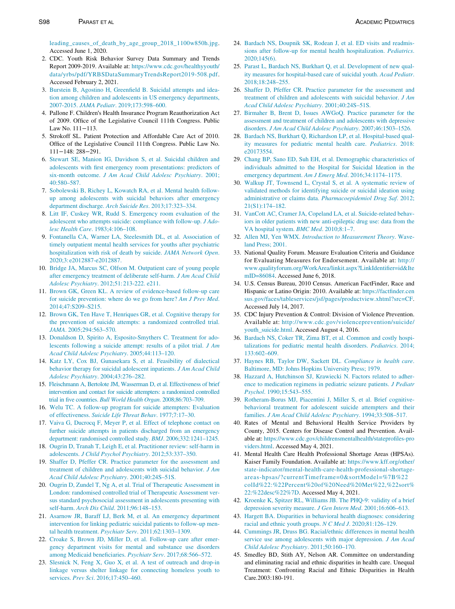[leading\\_causes\\_of\\_death\\_by\\_age\\_group\\_2018\\_1100w850h.jpg](https://www.cdc.gov/injury/images/lc-charts/leading_causes_of_death_by_age_group_2018_1100w850h.jpg). Accessed June 1, 2020.

- <span id="page-6-21"></span><span id="page-6-10"></span><span id="page-6-0"></span>2. CDC. Youth Risk Behavior Survey Data Summary and Trends Report 2009-2019. Available at: [https://www.cdc.gov/healthyyouth/](https://www.cdc.gov/healthyyouth/data/yrbs/pdf/YRBSDataSummaryTrendsReport2019-508.pdf) [data/yrbs/pdf/YRBSDataSummaryTrendsReport2019-508.pdf](https://www.cdc.gov/healthyyouth/data/yrbs/pdf/YRBSDataSummaryTrendsReport2019-508.pdf). Accessed February 2, 2021.
- <span id="page-6-11"></span><span id="page-6-1"></span>3. [Burstein B, Agostino H, Greenfield B. Suicidal attempts and idea](http://refhub.elsevier.com/S1876-2859(21)00147-9/sbref0003)[tion among children and adolescents in US emergency departments,](http://refhub.elsevier.com/S1876-2859(21)00147-9/sbref0003) 2007-2015. JAMA Pediatr[. 2019;173:598–600.](http://refhub.elsevier.com/S1876-2859(21)00147-9/sbref0003)
- <span id="page-6-12"></span><span id="page-6-2"></span>4. Pallone F. Children's Health Insurance Program Reauthorization Act of 2009. Office of the Legislative Council 111th Congress. Public Law No. 111−113.
- <span id="page-6-13"></span><span id="page-6-3"></span>5. Strokoff SL. Patient Protection and Affordable Care Act of 2010. Office of the Legislative Council 111th Congress. Public Law No. 111−148: 288−291.
- <span id="page-6-14"></span><span id="page-6-4"></span>6. [Stewart SE, Manion IG, Davidson S, et al. Suicidal children and](http://refhub.elsevier.com/S1876-2859(21)00147-9/sbref0006) [adolescents with first emergency room presentations: predictors of](http://refhub.elsevier.com/S1876-2859(21)00147-9/sbref0006) six-month outcome. [J Am Acad Child Adolesc Psychiatry](http://refhub.elsevier.com/S1876-2859(21)00147-9/sbref0006). 2001; [40:580–587.](http://refhub.elsevier.com/S1876-2859(21)00147-9/sbref0006)
- <span id="page-6-32"></span><span id="page-6-5"></span>7. [Sobolewski B, Richey L, Kowatch RA, et al. Mental health follow](http://refhub.elsevier.com/S1876-2859(21)00147-9/sbref0007)[up among adolescents with suicidal behaviors after emergency](http://refhub.elsevier.com/S1876-2859(21)00147-9/sbref0007) [department discharge.](http://refhub.elsevier.com/S1876-2859(21)00147-9/sbref0007) Arch Suicide Res. 2013;17:323–334.
- 8. [Litt IF, Cuskey WR, Rudd S. Emergency room evaluation of the](http://refhub.elsevier.com/S1876-2859(21)00147-9/sbref0008) [adolescent who attempts suicide: compliance with follow-up.](http://refhub.elsevier.com/S1876-2859(21)00147-9/sbref0008) J Adolesc Health Care[. 1983;4:106–108.](http://refhub.elsevier.com/S1876-2859(21)00147-9/sbref0008)
- <span id="page-6-17"></span><span id="page-6-16"></span><span id="page-6-8"></span>9. [Fontanella CA, Warner LA, Steelesmith DL, et al. Association of](http://refhub.elsevier.com/S1876-2859(21)00147-9/sbref0009) [timely outpatient mental health services for youths after psychiatric](http://refhub.elsevier.com/S1876-2859(21)00147-9/sbref0009) [hospitalization with risk of death by suicide.](http://refhub.elsevier.com/S1876-2859(21)00147-9/sbref0009) JAMA Network Open. [2020;3:e2012887-e2012887.](http://refhub.elsevier.com/S1876-2859(21)00147-9/sbref0009)
- 10. [Bridge JA, Marcus SC, Olfson M. Outpatient care of young people](http://refhub.elsevier.com/S1876-2859(21)00147-9/sbref0010) [after emergency treatment of deliberate self-harm.](http://refhub.elsevier.com/S1876-2859(21)00147-9/sbref0010) J Am Acad Child [Adolesc Psychiatry](http://refhub.elsevier.com/S1876-2859(21)00147-9/sbref0010)[. 2012;51: 213-222. e211.](http://refhub.elsevier.com/S1876-2859(21)00147-9/sbref0010)
- <span id="page-6-18"></span><span id="page-6-6"></span>11. [Brown GK, Green KL. A review of evidence-based follow-up care](http://refhub.elsevier.com/S1876-2859(21)00147-9/sbref0011) [for suicide prevention: where do we go from here?](http://refhub.elsevier.com/S1876-2859(21)00147-9/sbref0011) Am J Prev Med. [2014;47:S209–S215.](http://refhub.elsevier.com/S1876-2859(21)00147-9/sbref0011)
- <span id="page-6-19"></span><span id="page-6-15"></span>12. [Brown GK, Ten Have T, Henriques GR, et al. Cognitive therapy for](http://refhub.elsevier.com/S1876-2859(21)00147-9/sbref0012) [the prevention of suicide attempts: a randomized controlled trial.](http://refhub.elsevier.com/S1876-2859(21)00147-9/sbref0012) JAMA[. 2005;294:563–570.](http://refhub.elsevier.com/S1876-2859(21)00147-9/sbref0012)
- <span id="page-6-20"></span>13. [Donaldson D, Spirito A, Esposito-Smythers C. Treatment for ado](http://refhub.elsevier.com/S1876-2859(21)00147-9/sbref0013)[lescents following a suicide attempt: results of a pilot trial.](http://refhub.elsevier.com/S1876-2859(21)00147-9/sbref0013) J Am [Acad Child Adolesc Psychiatry](http://refhub.elsevier.com/S1876-2859(21)00147-9/sbref0013). 2005;44:113–120.
- <span id="page-6-22"></span>14. [Katz LY, Cox BJ, Gunasekara S, et al. Feasibility of dialectical](http://refhub.elsevier.com/S1876-2859(21)00147-9/sbref0014) [behavior therapy for suicidal adolescent inpatients.](http://refhub.elsevier.com/S1876-2859(21)00147-9/sbref0014) J Am Acad Child Adolesc Psychiatry[. 2004;43:276–282.](http://refhub.elsevier.com/S1876-2859(21)00147-9/sbref0014)
- <span id="page-6-23"></span>15. [Fleischmann A, Bertolote JM, Wasserman D, et al. Effectiveness of brief](http://refhub.elsevier.com/S1876-2859(21)00147-9/sbref0015) [intervention and contact for suicide attempters: a randomized controlled](http://refhub.elsevier.com/S1876-2859(21)00147-9/sbref0015) trial in five countries. [Bull World Health Organ](http://refhub.elsevier.com/S1876-2859(21)00147-9/sbref0015). 2008;86:703–709.
- <span id="page-6-27"></span><span id="page-6-24"></span>16. [Welu TC. A follow-up program for suicide attempters: Evaluation](http://refhub.elsevier.com/S1876-2859(21)00147-9/sbref0016) of effectiveness. [Suicide Life Threat Behav](http://refhub.elsevier.com/S1876-2859(21)00147-9/sbref0016). 1977;7:17–30.
- <span id="page-6-28"></span><span id="page-6-25"></span>17. [Vaiva G, Ducrocq F, Meyer P, et al. Effect of telephone contact on](http://refhub.elsevier.com/S1876-2859(21)00147-9/sbref0017) [further suicide attempts in patients discharged from an emergency](http://refhub.elsevier.com/S1876-2859(21)00147-9/sbref0017) [department: randomised controlled study.](http://refhub.elsevier.com/S1876-2859(21)00147-9/sbref0017) BMJ. 2006;332:1241–1245.
- <span id="page-6-26"></span><span id="page-6-7"></span>18. [Ougrin D, Tranah T, Leigh E, et al. Practitioner review: self-harm in](http://refhub.elsevier.com/S1876-2859(21)00147-9/sbref0018) adolescents. [J Child Psychol Psychiatry](http://refhub.elsevier.com/S1876-2859(21)00147-9/sbref0018). 2012;53:337–350.
- <span id="page-6-31"></span>19. [Shaffer D, Pfeffer CR. Practice parameter for the assessment and](http://refhub.elsevier.com/S1876-2859(21)00147-9/sbref0019) [treatment of children and adolescents with suicidal behavior.](http://refhub.elsevier.com/S1876-2859(21)00147-9/sbref0019) J Am [Acad Child Adolesc Psychiatry](http://refhub.elsevier.com/S1876-2859(21)00147-9/sbref0019). 2001;40:24S–51S.
- <span id="page-6-29"></span>20. [Ougrin D, Zundel T, Ng A, et al. Trial of Therapeutic Assessment in](http://refhub.elsevier.com/S1876-2859(21)00147-9/sbref0020) [London: randomised controlled trial of Therapeutic Assessment ver](http://refhub.elsevier.com/S1876-2859(21)00147-9/sbref0020)[sus standard psychosocial assessment in adolescents presenting with](http://refhub.elsevier.com/S1876-2859(21)00147-9/sbref0020) self-harm. Arch Dis Child[. 2011;96:148–153.](http://refhub.elsevier.com/S1876-2859(21)00147-9/sbref0020)
- <span id="page-6-30"></span>21. [Asarnow JR, Baraff LJ, Berk M, et al. An emergency department](http://refhub.elsevier.com/S1876-2859(21)00147-9/sbref0021) [intervention for linking pediatric suicidal patients to follow-up men](http://refhub.elsevier.com/S1876-2859(21)00147-9/sbref0021)tal health treatment. Psychiatr Serv[. 2011;62:1303–1309.](http://refhub.elsevier.com/S1876-2859(21)00147-9/sbref0021)
- <span id="page-6-9"></span>22. [Croake S, Brown JD, Miller D, et al. Follow-up care after emer](http://refhub.elsevier.com/S1876-2859(21)00147-9/sbref0022)[gency department visits for mental and substance use disorders](http://refhub.elsevier.com/S1876-2859(21)00147-9/sbref0022) [among Medicaid beneficiaries.](http://refhub.elsevier.com/S1876-2859(21)00147-9/sbref0022) Psychiatr Serv. 2017;68:566–572.
- 23. [Slesnick N, Feng X, Guo X, et al. A test of outreach and drop-in](http://refhub.elsevier.com/S1876-2859(21)00147-9/sbref0023) [linkage versus shelter linkage for connecting homeless youth to](http://refhub.elsevier.com/S1876-2859(21)00147-9/sbref0023) services. Prev Sci[. 2016;17:450–460.](http://refhub.elsevier.com/S1876-2859(21)00147-9/sbref0023)
- 24. [Bardach NS, Doupnik SK, Rodean J, et al. ED visits and readmis](http://refhub.elsevier.com/S1876-2859(21)00147-9/sbref0024)[sions after follow-up for mental health hospitalization.](http://refhub.elsevier.com/S1876-2859(21)00147-9/sbref0024) Pediatrics. [2020;145\(6\).](http://refhub.elsevier.com/S1876-2859(21)00147-9/sbref0024)
- 25. [Parast L, Bardach NS, Burkhart Q, et al. Development of new qual](http://refhub.elsevier.com/S1876-2859(21)00147-9/sbref0025)[ity measures for hospital-based care of suicidal youth.](http://refhub.elsevier.com/S1876-2859(21)00147-9/sbref0025) Acad Pediatr. [2018;18:248–255.](http://refhub.elsevier.com/S1876-2859(21)00147-9/sbref0025)
- 26. [Shaffer D, Pfeffer CR. Practice parameter for the assessment and](http://refhub.elsevier.com/S1876-2859(21)00147-9/sbref0026) [treatment of children and adolescents with suicidal behavior.](http://refhub.elsevier.com/S1876-2859(21)00147-9/sbref0026) J Am [Acad Child Adolesc Psychiatry](http://refhub.elsevier.com/S1876-2859(21)00147-9/sbref0026). 2001;40:24S–51S.
- 27. [Birmaher B, Brent D, Issues AWGoQ. Practice parameter for the](http://refhub.elsevier.com/S1876-2859(21)00147-9/sbref0027) [assessment and treatment of children and adolescents with depressive](http://refhub.elsevier.com/S1876-2859(21)00147-9/sbref0027) disorders. [J Am Acad Child Adolesc Psychiatry](http://refhub.elsevier.com/S1876-2859(21)00147-9/sbref0027). 2007;46:1503–1526.
- 28. [Bardach NS, Burkhart Q, Richardson LP, et al. Hospital-based qual](http://refhub.elsevier.com/S1876-2859(21)00147-9/sbref0028)[ity measures for pediatric mental health care.](http://refhub.elsevier.com/S1876-2859(21)00147-9/sbref0028) Pediatrics. 2018: [e20173554.](http://refhub.elsevier.com/S1876-2859(21)00147-9/sbref0028)
- 29. [Chang BP, Sano ED, Suh EH, et al. Demographic characteristics of](http://refhub.elsevier.com/S1876-2859(21)00147-9/sbref0029) [individuals admitted to the Hospital for Suicidal Ideation in the](http://refhub.elsevier.com/S1876-2859(21)00147-9/sbref0029) [emergency department.](http://refhub.elsevier.com/S1876-2859(21)00147-9/sbref0029) Am J Emerg Med. 2016;34:1174–1175.
- 30. [Walkup JT, Townsend L, Crystal S, et al. A systematic review of](http://refhub.elsevier.com/S1876-2859(21)00147-9/sbref0030) [validated methods for identifying suicide or suicidal ideation using](http://refhub.elsevier.com/S1876-2859(21)00147-9/sbref0030) [administrative or claims data.](http://refhub.elsevier.com/S1876-2859(21)00147-9/sbref0030) Pharmacoepidemiol Drug Saf. 2012; [21\(S1\):174–182.](http://refhub.elsevier.com/S1876-2859(21)00147-9/sbref0030)
- 31. [VanCott AC, Cramer JA, Copeland LA, et al. Suicide-related behav](http://refhub.elsevier.com/S1876-2859(21)00147-9/sbref0031)[iors in older patients with new anti-epileptic drug use: data from the](http://refhub.elsevier.com/S1876-2859(21)00147-9/sbref0031) [VA hospital system.](http://refhub.elsevier.com/S1876-2859(21)00147-9/sbref0031) BMC Med. 2010;8:1–7.
- 32. Allen MJ, Yen WMX. [Introduction to Measurement Theory](http://refhub.elsevier.com/S1876-2859(21)00147-9/sbref0032). Wave[land Press; 2001.](http://refhub.elsevier.com/S1876-2859(21)00147-9/sbref0032)
- 33. National Quality Forum. Measure Evaluation Criteria and Guidance for Evaluating Measures for Endorsement. Available at: [http://](http://www.qualityforum.org/WorkArea/linkit.aspx?LinkIdentifier=id&ItemID=86084) [www.qualityforum.org/WorkArea/linkit.aspx?LinkIdentifier=id&Ite](http://www.qualityforum.org/WorkArea/linkit.aspx?LinkIdentifier=id&ItemID=86084) [mID=86084](http://www.qualityforum.org/WorkArea/linkit.aspx?LinkIdentifier=id&ItemID=86084). Accessed June 6, 2018.
- 34. U.S. Census Bureau, 2010 Census. American FactFinder, Race and Hispanic or Latino Origin: 2010. Available at: [https://factfinder.cen](https://factfinder.census.gov/faces/tableservices/jsf/pages/productview.xhtml?src=CF) [sus.gov/faces/tableservices/jsf/pages/productview.xhtml?src=CF.](https://factfinder.census.gov/faces/tableservices/jsf/pages/productview.xhtml?src=CF) Accessed July 14, 2017.
- 35. CDC Injury Prevention & Control: Division of Violence Prevention. Available at: [http://www.cdc.gov/violenceprevention/suicide/](http://www.cdc.gov/violenceprevention/suicide/youth_suicide.html) [youth\\_suicide.html.](http://www.cdc.gov/violenceprevention/suicide/youth_suicide.html) Accessed August 4, 2016.
- 36. [Bardach NS, Coker TR, Zima BT, et al. Common and costly hospi](http://refhub.elsevier.com/S1876-2859(21)00147-9/sbref0036)[talizations for pediatric mental health disorders.](http://refhub.elsevier.com/S1876-2859(21)00147-9/sbref0036) Pediatrics. 2014; [133:602–609.](http://refhub.elsevier.com/S1876-2859(21)00147-9/sbref0036)
- 37. [Haynes RB, Taylor DW, Sackett DL.](http://refhub.elsevier.com/S1876-2859(21)00147-9/sbref0037) Compliance in health care. [Baltimore, MD: Johns Hopkins University Press; 1979.](http://refhub.elsevier.com/S1876-2859(21)00147-9/sbref0037)
- 38. [Hazzard A, Hutchinson SJ, Krawiecki N. Factors related to adher](http://refhub.elsevier.com/S1876-2859(21)00147-9/sbref0038)[ence to medication regimens in pediatric seizure patients.](http://refhub.elsevier.com/S1876-2859(21)00147-9/sbref0038) J Pediatr Psychol[. 1990;15:543–555.](http://refhub.elsevier.com/S1876-2859(21)00147-9/sbref0038)
- 39. [Rotheram-Borus MJ, Piacentini J, Miller S, et al. Brief cognitive](http://refhub.elsevier.com/S1876-2859(21)00147-9/sbref0039)[behavioral treatment for adolescent suicide attempters and their](http://refhub.elsevier.com/S1876-2859(21)00147-9/sbref0039) families. [J Am Acad Child Adolesc Psychiatry](http://refhub.elsevier.com/S1876-2859(21)00147-9/sbref0039). 1994;33:508–517.
- 40. Rates of Mental and Behavioral Health Service Providers by County, 2015. Centers for Disease Control and Prevention. Available at: [https://www.cdc.gov/childrensmentalhealth/stateprofiles-pro](https://www.cdc.gov/childrensmentalhealth/stateprofiles-providers.html) [viders.html.](https://www.cdc.gov/childrensmentalhealth/stateprofiles-providers.html) Accessed May 4, 2021.
- 41. Mental Health Care Health Professional Shortage Areas (HPSAs). Kaiser Family Foundation. Available at: [https://www.kff.org/other/](https://www.kff.org/other/state-indicator/mental-health-care-health-professional-shortage-areas-hpsas/?currentTimeframe=0&sortModel=%7B%22colId%22:%22Percent%20of%20Need%20Met%22,%22sort%22:%22desc%22%7D) [state-indicator/mental-health-care-health-professional-shortage](https://www.kff.org/other/state-indicator/mental-health-care-health-professional-shortage-areas-hpsas/?currentTimeframe=0&sortModel=%7B%22colId%22:%22Percent%20of%20Need%20Met%22,%22sort%22:%22desc%22%7D)[areas-hpsas/?currentTimeframe=0&sortModel=](https://www.kff.org/other/state-indicator/mental-health-care-health-professional-shortage-areas-hpsas/?currentTimeframe=0&sortModel=%7B%22colId%22:%22Percent%20of%20Need%20Met%22,%22sort%22:%22desc%22%7D)%[7B](https://www.kff.org/other/state-indicator/mental-health-care-health-professional-shortage-areas-hpsas/?currentTimeframe=0&sortModel=%7B%22colId%22:%22Percent%20of%20Need%20Met%22,%22sort%22:%22desc%22%7D)%[22](https://www.kff.org/other/state-indicator/mental-health-care-health-professional-shortage-areas-hpsas/?currentTimeframe=0&sortModel=%7B%22colId%22:%22Percent%20of%20Need%20Met%22,%22sort%22:%22desc%22%7D) [colId%22:%22Percent](https://www.kff.org/other/state-indicator/mental-health-care-health-professional-shortage-areas-hpsas/?currentTimeframe=0&sortModel=%7B%22colId%22:%22Percent%20of%20Need%20Met%22,%22sort%22:%22desc%22%7D)%[20of](https://www.kff.org/other/state-indicator/mental-health-care-health-professional-shortage-areas-hpsas/?currentTimeframe=0&sortModel=%7B%22colId%22:%22Percent%20of%20Need%20Met%22,%22sort%22:%22desc%22%7D)%[20Need](https://www.kff.org/other/state-indicator/mental-health-care-health-professional-shortage-areas-hpsas/?currentTimeframe=0&sortModel=%7B%22colId%22:%22Percent%20of%20Need%20Met%22,%22sort%22:%22desc%22%7D)%[20Met%22,%22sort](https://www.kff.org/other/state-indicator/mental-health-care-health-professional-shortage-areas-hpsas/?currentTimeframe=0&sortModel=%7B%22colId%22:%22Percent%20of%20Need%20Met%22,%22sort%22:%22desc%22%7D)% [22:%22desc](https://www.kff.org/other/state-indicator/mental-health-care-health-professional-shortage-areas-hpsas/?currentTimeframe=0&sortModel=%7B%22colId%22:%22Percent%20of%20Need%20Met%22,%22sort%22:%22desc%22%7D)%[22%7D](https://www.kff.org/other/state-indicator/mental-health-care-health-professional-shortage-areas-hpsas/?currentTimeframe=0&sortModel=%7B%22colId%22:%22Percent%20of%20Need%20Met%22,%22sort%22:%22desc%22%7D). Accessed May 4, 2021.
- 42. [Kroenke K, Spitzer RL, Williams JB. The PHQ-9: validity of a brief](http://refhub.elsevier.com/S1876-2859(21)00147-9/sbref0042) [depression severity measure.](http://refhub.elsevier.com/S1876-2859(21)00147-9/sbref0042) J Gen Intern Med. 2001;16:606–613.
- 43. [Hargett BA. Disparities in behavioral health diagnoses: considering](http://refhub.elsevier.com/S1876-2859(21)00147-9/sbref0043) [racial and ethnic youth groups.](http://refhub.elsevier.com/S1876-2859(21)00147-9/sbref0043) N C Med J. 2020;81:126–129.
- 44. [Cummings JR, Druss BG. Racial/ethnic differences in mental health](http://refhub.elsevier.com/S1876-2859(21)00147-9/sbref0044) [service use among adolescents with major depression.](http://refhub.elsevier.com/S1876-2859(21)00147-9/sbref0044) J Am Acad [Child Adolesc Psychiatry](http://refhub.elsevier.com/S1876-2859(21)00147-9/sbref0044). 2011;50:160–170.
- 45. Smedley BD, Stith AY, Nelson AR. Committee on understanding and eliminating racial and ethnic disparities in health care. Unequal Treatment: Confronting Racial and Ethnic Disparities in Health Care.2003:180-191.